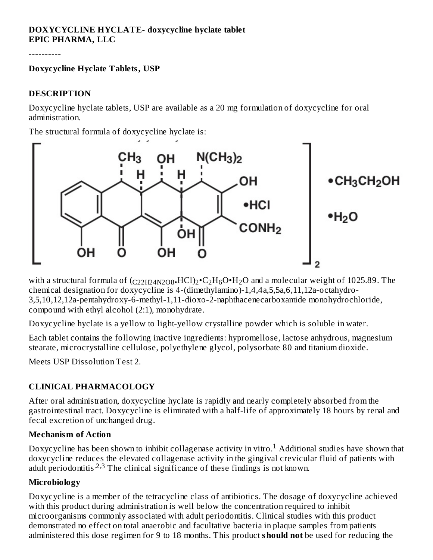### **DOXYCYCLINE HYCLATE- doxycycline hyclate tablet EPIC PHARMA, LLC**

----------

### **Doxycycline Hyclate Tablets, USP**

### **DESCRIPTION**

Doxycycline hyclate tablets, USP are available as a 20 mg formulation of doxycycline for oral administration.

The structural formula of doxycycline hyclate is:



with a structural formula of  $\rm_{C22H24N2O8}$ +HCl) $\rm_{2}$ +C $\rm_{2}H_{6}O$ +H $\rm_{2}O$  and a molecular weight of 1025.89. The chemical designation for doxycycline is 4-(dimethylamino)-1,4,4a,5,5a,6,11,12a-octahydro-3,5,10,12,12a-pentahydroxy-6-methyl-1,11-dioxo-2-naphthacenecarboxamide monohydrochloride, compound with ethyl alcohol (2:1), monohydrate.

Doxycycline hyclate is a yellow to light-yellow crystalline powder which is soluble in water.

Each tablet contains the following inactive ingredients: hypromellose, lactose anhydrous, magnesium stearate, microcrystalline cellulose, polyethylene glycol, polysorbate 80 and titanium dioxide.

Meets USP Dissolution Test 2.

### **CLINICAL PHARMACOLOGY**

After oral administration, doxycycline hyclate is rapidly and nearly completely absorbed from the gastrointestinal tract. Doxycycline is eliminated with a half-life of approximately 18 hours by renal and fecal excretion of unchanged drug.

#### **Mechanism of Action**

Doxycycline has been shown to inhibit collagenase activity in vitro. $^1$  Additional studies have shown that doxycycline reduces the elevated collagenase activity in the gingival crevicular fluid of patients with adult periodontitis<sup> $-2,3$ </sup> The clinical significance of these findings is not known.

### **Microbiology**

Doxycycline is a member of the tetracycline class of antibiotics. The dosage of doxycycline achieved with this product during administration is well below the concentration required to inhibit microorganisms commonly associated with adult periodontitis. Clinical studies with this product demonstrated no effect on total anaerobic and facultative bacteria in plaque samples from patients administered this dose regimen for 9 to 18 months. This product **should not** be used for reducing the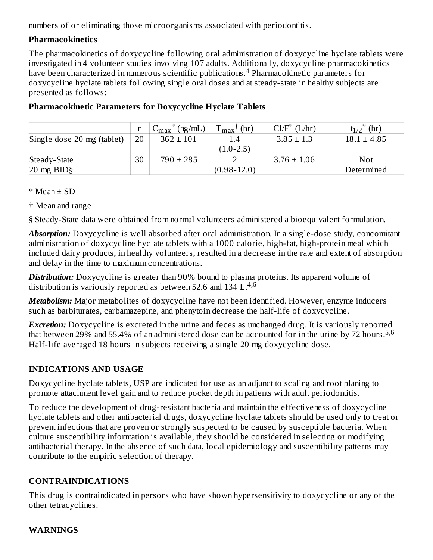numbers of or eliminating those microorganisms associated with periodontitis.

## **Pharmacokinetics**

The pharmacokinetics of doxycycline following oral administration of doxycycline hyclate tablets were investigated in 4 volunteer studies involving 107 adults. Additionally, doxycycline pharmacokinetics have been characterized in numerous scientific publications.<sup>4</sup> Pharmacokinetic parameters for doxycycline hyclate tablets following single oral doses and at steady-state in healthy subjects are presented as follows:

|                            | n  | $*$ (ng/mL)<br>$C_{\rm max}$ | $\uparrow$ (hr)<br>$\mathbf{T}$<br>$\Gamma_{\rm max}$ | $Cl/F^*(L/hr)$  | $\infty^*$ (hr)<br>$t_{1/2}$ |
|----------------------------|----|------------------------------|-------------------------------------------------------|-----------------|------------------------------|
| Single dose 20 mg (tablet) | 20 | $362 \pm 101$                | 1.4                                                   | $3.85 \pm 1.3$  | $18.1 \pm 4.85$              |
|                            |    |                              | $(1.0 - 2.5)$                                         |                 |                              |
| Steady-State               | 30 | $790 \pm 285$                |                                                       | $3.76 \pm 1.06$ | Not                          |
| $20 \text{ mg } BID\$      |    |                              | $(0.98 - 12.0)$                                       |                 | Determined                   |

## **Pharmacokinetic Parameters for Doxycycline Hyclate Tablets**

\* Mean ± SD

† Mean and range

§ Steady-State data were obtained from normal volunteers administered a bioequivalent formulation.

*Absorption:* Doxycycline is well absorbed after oral administration. In a single-dose study, concomitant administration of doxycycline hyclate tablets with a 1000 calorie, high-fat, high-protein meal which included dairy products, in healthy volunteers, resulted in a decrease in the rate and extent of absorption and delay in the time to maximum concentrations.

**Distribution:** Doxycycline is greater than 90% bound to plasma proteins. Its apparent volume of distribution is variously reported as between 52.6 and  $134$  L.<sup>4,6</sup>

*Metabolism:* Major metabolites of doxycycline have not been identified. However, enzyme inducers such as barbiturates, carbamazepine, and phenytoin decrease the half-life of doxycycline.

*Excretion:* Doxycycline is excreted in the urine and feces as unchanged drug. It is variously reported that between 29% and 55.4% of an administered dose can be accounted for in the urine by 72 hours.<sup>5,6</sup> Half-life averaged 18 hours in subjects receiving a single 20 mg doxycycline dose.

## **INDICATIONS AND USAGE**

Doxycycline hyclate tablets, USP are indicated for use as an adjunct to scaling and root planing to promote attachment level gain and to reduce pocket depth in patients with adult periodontitis.

To reduce the development of drug-resistant bacteria and maintain the effectiveness of doxycycline hyclate tablets and other antibacterial drugs, doxycycline hyclate tablets should be used only to treat or prevent infections that are proven or strongly suspected to be caused by susceptible bacteria. When culture susceptibility information is available, they should be considered in selecting or modifying antibacterial therapy. In the absence of such data, local epidemiology and susceptibility patterns may contribute to the empiric selection of therapy.

## **CONTRAINDICATIONS**

This drug is contraindicated in persons who have shown hypersensitivity to doxycycline or any of the other tetracyclines.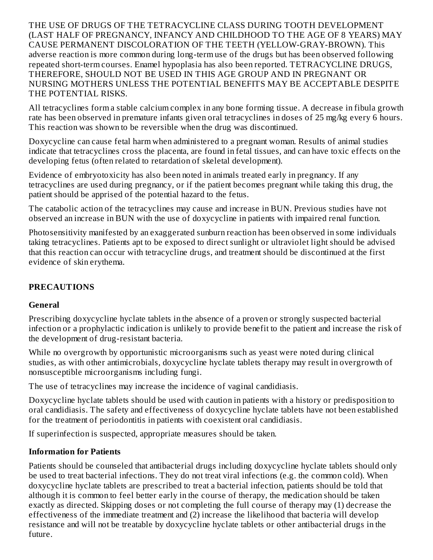THE USE OF DRUGS OF THE TETRACYCLINE CLASS DURING TOOTH DEVELOPMENT (LAST HALF OF PREGNANCY, INFANCY AND CHILDHOOD TO THE AGE OF 8 YEARS) MAY CAUSE PERMANENT DISCOLORATION OF THE TEETH (YELLOW-GRAY-BROWN). This adverse reaction is more common during long-term use of the drugs but has been observed following repeated short-term courses. Enamel hypoplasia has also been reported. TETRACYCLINE DRUGS, THEREFORE, SHOULD NOT BE USED IN THIS AGE GROUP AND IN PREGNANT OR NURSING MOTHERS UNLESS THE POTENTIAL BENEFITS MAY BE ACCEPTABLE DESPITE THE POTENTIAL RISKS.

All tetracyclines form a stable calcium complex in any bone forming tissue. A decrease in fibula growth rate has been observed in premature infants given oral tetracyclines in doses of 25 mg/kg every 6 hours. This reaction was shown to be reversible when the drug was discontinued.

Doxycycline can cause fetal harm when administered to a pregnant woman. Results of animal studies indicate that tetracyclines cross the placenta, are found in fetal tissues, and can have toxic effects on the developing fetus (often related to retardation of skeletal development).

Evidence of embryotoxicity has also been noted in animals treated early in pregnancy. If any tetracyclines are used during pregnancy, or if the patient becomes pregnant while taking this drug, the patient should be apprised of the potential hazard to the fetus.

The catabolic action of the tetracyclines may cause and increase in BUN. Previous studies have not observed an increase in BUN with the use of doxycycline in patients with impaired renal function.

Photosensitivity manifested by an exaggerated sunburn reaction has been observed in some individuals taking tetracyclines. Patients apt to be exposed to direct sunlight or ultraviolet light should be advised that this reaction can occur with tetracycline drugs, and treatment should be discontinued at the first evidence of skin erythema.

## **PRECAUTIONS**

### **General**

Prescribing doxycycline hyclate tablets in the absence of a proven or strongly suspected bacterial infection or a prophylactic indication is unlikely to provide benefit to the patient and increase the risk of the development of drug-resistant bacteria.

While no overgrowth by opportunistic microorganisms such as yeast were noted during clinical studies, as with other antimicrobials, doxycycline hyclate tablets therapy may result in overgrowth of nonsusceptible microorganisms including fungi.

The use of tetracyclines may increase the incidence of vaginal candidiasis.

Doxycycline hyclate tablets should be used with caution in patients with a history or predisposition to oral candidiasis. The safety and effectiveness of doxycycline hyclate tablets have not been established for the treatment of periodontitis in patients with coexistent oral candidiasis.

If superinfection is suspected, appropriate measures should be taken.

### **Information for Patients**

Patients should be counseled that antibacterial drugs including doxycycline hyclate tablets should only be used to treat bacterial infections. They do not treat viral infections (e.g. the common cold). When doxycycline hyclate tablets are prescribed to treat a bacterial infection, patients should be told that although it is common to feel better early in the course of therapy, the medication should be taken exactly as directed. Skipping doses or not completing the full course of therapy may (1) decrease the effectiveness of the immediate treatment and (2) increase the likelihood that bacteria will develop resistance and will not be treatable by doxycycline hyclate tablets or other antibacterial drugs in the future.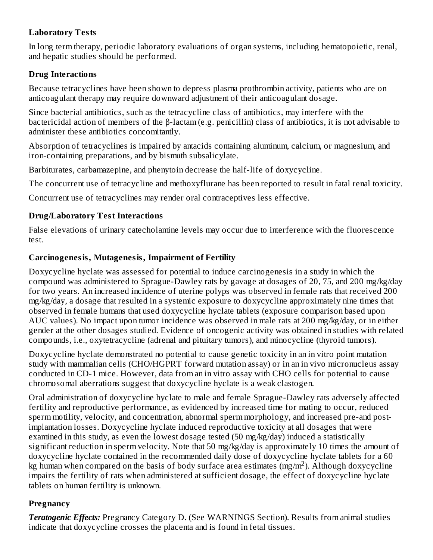## **Laboratory Tests**

In long term therapy, periodic laboratory evaluations of organ systems, including hematopoietic, renal, and hepatic studies should be performed.

## **Drug Interactions**

Because tetracyclines have been shown to depress plasma prothrombin activity, patients who are on anticoagulant therapy may require downward adjustment of their anticoagulant dosage.

Since bacterial antibiotics, such as the tetracycline class of antibiotics, may interfere with the bactericidal action of members of the β-lactam (e.g. penicillin) class of antibiotics, it is not advisable to administer these antibiotics concomitantly.

Absorption of tetracyclines is impaired by antacids containing aluminum, calcium, or magnesium, and iron-containing preparations, and by bismuth subsalicylate.

Barbiturates, carbamazepine, and phenytoin decrease the half-life of doxycycline.

The concurrent use of tetracycline and methoxyflurane has been reported to result in fatal renal toxicity.

Concurrent use of tetracyclines may render oral contraceptives less effective.

# **Drug/Laboratory Test Interactions**

False elevations of urinary catecholamine levels may occur due to interference with the fluorescence test.

# **Carcinogenesis, Mutagenesis, Impairment of Fertility**

Doxycycline hyclate was assessed for potential to induce carcinogenesis in a study in which the compound was administered to Sprague-Dawley rats by gavage at dosages of 20, 75, and 200 mg/kg/day for two years. An increased incidence of uterine polyps was observed in female rats that received 200 mg/kg/day, a dosage that resulted in a systemic exposure to doxycycline approximately nine times that observed in female humans that used doxycycline hyclate tablets (exposure comparison based upon AUC values). No impact upon tumor incidence was observed in male rats at 200 mg/kg/day, or in either gender at the other dosages studied. Evidence of oncogenic activity was obtained in studies with related compounds, i.e., oxytetracycline (adrenal and pituitary tumors), and minocycline (thyroid tumors).

Doxycycline hyclate demonstrated no potential to cause genetic toxicity in an in vitro point mutation study with mammalian cells (CHO/HGPRT forward mutation assay) or in an in vivo micronucleus assay conducted in CD-1 mice. However, data from an in vitro assay with CHO cells for potential to cause chromosomal aberrations suggest that doxycycline hyclate is a weak clastogen.

Oral administration of doxycycline hyclate to male and female Sprague-Dawley rats adversely affected fertility and reproductive performance, as evidenced by increased time for mating to occur, reduced sperm motility, velocity, and concentration, abnormal sperm morphology, and increased pre-and postimplantation losses. Doxycycline hyclate induced reproductive toxicity at all dosages that were examined in this study, as even the lowest dosage tested (50 mg/kg/day) induced a statistically significant reduction in sperm velocity. Note that 50 mg/kg/day is approximately 10 times the amount of doxycycline hyclate contained in the recommended daily dose of doxycycline hyclate tablets for a 60 kg human when compared on the basis of body surface area estimates (mg/m<sup>2</sup>). Although doxycycline impairs the fertility of rats when administered at sufficient dosage, the effect of doxycycline hyclate tablets on human fertility is unknown.

# **Pregnancy**

*Teratogenic Effects:* Pregnancy Category D. (See WARNINGS Section). Results from animal studies indicate that doxycycline crosses the placenta and is found in fetal tissues.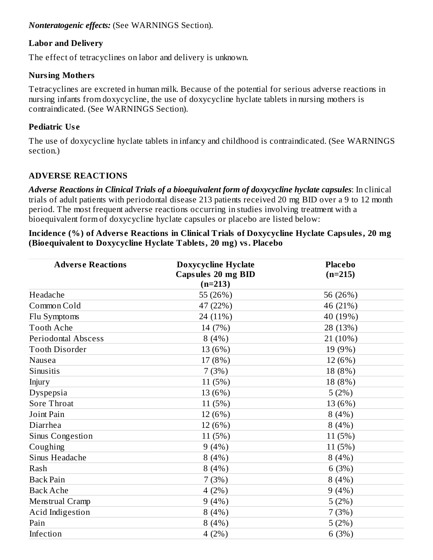### *Nonteratogenic effects:* (See WARNINGS Section).

#### **Labor and Delivery**

The effect of tetracyclines on labor and delivery is unknown.

#### **Nursing Mothers**

Tetracyclines are excreted in human milk. Because of the potential for serious adverse reactions in nursing infants from doxycycline, the use of doxycycline hyclate tablets in nursing mothers is contraindicated. (See WARNINGS Section).

### **Pediatric Us e**

The use of doxycycline hyclate tablets in infancy and childhood is contraindicated. (See WARNINGS section.)

### **ADVERSE REACTIONS**

*Adverse Reactions in Clinical Trials of a bioequivalent form of doxycycline hyclate capsules*: In clinical trials of adult patients with periodontal disease 213 patients received 20 mg BID over a 9 to 12 month period. The most frequent adverse reactions occurring in studies involving treatment with a bioequivalent form of doxycycline hyclate capsules or placebo are listed below:

**Incidence (%) of Advers e Reactions in Clinical Trials of Doxycycline Hyclate Capsules, 20 mg (Bioequivalent to Doxycycline Hyclate Tablets, 20 mg) vs. Placebo**

| <b>Adverse Reactions</b>   | <b>Doxycycline Hyclate</b> | <b>Placebo</b> |  |
|----------------------------|----------------------------|----------------|--|
|                            | <b>Capsules 20 mg BID</b>  | $(n=215)$      |  |
|                            | $(n=213)$                  |                |  |
| Headache                   | 55 (26%)                   | 56 (26%)       |  |
| Common Cold                | 47 (22%)                   | 46 (21%)       |  |
| Flu Symptoms               | 24 (11%)                   | 40 (19%)       |  |
| <b>Tooth Ache</b>          | 14 (7%)                    | 28 (13%)       |  |
| <b>Periodontal Abscess</b> | 8(4%)                      | 21 (10%)       |  |
| <b>Tooth Disorder</b>      | 13 (6%)                    | 19 (9%)        |  |
| Nausea                     | 17 (8%)                    | 12 (6%)        |  |
| Sinusitis                  | 7(3%)                      | 18 (8%)        |  |
| Injury                     | 11 (5%)                    | 18 (8%)        |  |
| Dyspepsia                  | 13 (6%)                    | 5(2%)          |  |
| Sore Throat                | 11 (5%)                    | 13 (6%)        |  |
| Joint Pain                 | 12 (6%)                    | 8(4%)          |  |
| Diarrhea                   | 12 (6%)                    | 8(4%)          |  |
| <b>Sinus Congestion</b>    | 11 (5%)                    | 11 (5%)        |  |
| Coughing                   | 9(4%)                      | 11 (5%)        |  |
| Sinus Headache             | 8(4%)                      | 8(4%)          |  |
| Rash                       | 8(4%)                      | 6(3%)          |  |
| <b>Back Pain</b>           | 7(3%)                      | 8(4%)          |  |
| <b>Back Ache</b>           | 4(2%)                      | 9(4%)          |  |
| Menstrual Cramp            | 9(4%)                      | 5(2%)          |  |
| Acid Indigestion           | 8(4%)                      | 7(3%)          |  |
| Pain                       | 8(4%)                      | 5(2%)          |  |
| Infection                  | 4(2%)                      | 6(3%)          |  |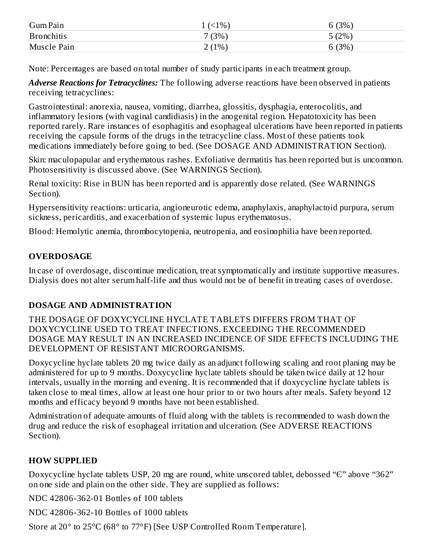| Gum Pain          | 1%       | 5(3%  |
|-------------------|----------|-------|
| <b>Bronchitis</b> | 7(3%     | 5(2%) |
| Muscle Pain       | $2(1\%)$ | 6(3%  |

Note: Percentages are based on total number of study participants in each treatment group.

*Adverse Reactions for Tetracyclines:* The following adverse reactions have been observed in patients receiving tetracyclines:

Gastrointestinal: anorexia, nausea, vomiting, diarrhea, glossitis, dysphagia, enterocolitis, and inflammatory lesions (with vaginal candidiasis) in the anogenital region. Hepatotoxicity has been reported rarely. Rare instances of esophagitis and esophageal ulcerations have been reported in patients receiving the capsule forms of the drugs in the tetracycline class. Most of these patients took medications immediately before going to bed. (See DOSAGE AND ADMINISTRATION Section).

Skin: maculopapular and erythematous rashes. Exfoliative dermatitis has been reported but is uncommon. Photosensitivity is discussed above. (See WARNINGS Section).

Renal toxicity: Rise in BUN has been reported and is apparently dose related. (See WARNINGS Section).

Hypersensitivity reactions: urticaria, angioneurotic edema, anaphylaxis, anaphylactoid purpura, serum sickness, pericarditis, and exacerbation of systemic lupus erythematosus.

Blood: Hemolytic anemia, thrombocytopenia, neutropenia, and eosinophilia have been reported.

# **OVERDOSAGE**

In case of overdosage, discontinue medication, treat symptomatically and institute supportive measures. Dialysis does not alter serum half-life and thus would not be of benefit in treating cases of overdose.

## **DOSAGE AND ADMINISTRATION**

THE DOSAGE OF DOXYCYCLINE HYCLATE TABLETS DIFFERS FROM THAT OF DOXYCYCLINE USED TO TREAT INFECTIONS. EXCEEDING THE RECOMMENDED DOSAGE MAY RESULT IN AN INCREASED INCIDENCE OF SIDE EFFECTS INCLUDING THE DEVELOPMENT OF RESISTANT MICROORGANISMS.

Doxycycline hyclate tablets 20 mg twice daily as an adjunct following scaling and root planing may be administered for up to 9 months. Doxycycline hyclate tablets should be taken twice daily at 12 hour intervals, usually in the morning and evening. It is recommended that if doxycycline hyclate tablets is taken close to meal times, allow at least one hour prior to or two hours after meals. Safety beyond 12 months and efficacy beyond 9 months have not been established.

Administration of adequate amounts of fluid along with the tablets is recommended to wash down the drug and reduce the risk of esophageal irritation and ulceration. (See ADVERSE REACTIONS Section).

## **HOW SUPPLIED**

Doxycycline hyclate tablets USP, 20 mg are round, white unscored tablet, debossed "Є" above "362" on one side and plain on the other side. They are supplied as follows:

NDC 42806-362-01 Bottles of 100 tablets

NDC 42806-362-10 Bottles of 1000 tablets

Store at 20° to 25°C (68° to 77°F) [See USP Controlled Room Temperature].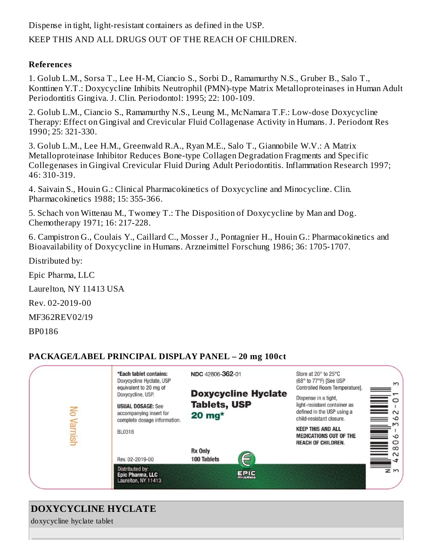Dispense in tight, light-resistant containers as defined in the USP.

### KEEP THIS AND ALL DRUGS OUT OF THE REACH OF CHILDREN.

### **References**

1. Golub L.M., Sorsa T., Lee H-M, Ciancio S., Sorbi D., Ramamurthy N.S., Gruber B., Salo T., Konttinen Y.T.: Doxycycline Inhibits Neutrophil (PMN)-type Matrix Metalloproteinases in Human Adult Periodontitis Gingiva. J. Clin. Periodontol: 1995; 22: 100-109.

2. Golub L.M., Ciancio S., Ramamurthy N.S., Leung M., McNamara T.F.: Low-dose Doxycycline Therapy: Effect on Gingival and Crevicular Fluid Collagenase Activity in Humans. J. Periodont Res 1990; 25: 321-330.

3. Golub L.M., Lee H.M., Greenwald R.A., Ryan M.E., Salo T., Giannobile W.V.: A Matrix Metalloproteinase Inhibitor Reduces Bone-type Collagen Degradation Fragments and Specific Collegenases in Gingival Crevicular Fluid During Adult Periodontitis. Inflammation Research 1997; 46: 310-319.

4. Saivain S., Houin G.: Clinical Pharmacokinetics of Doxycycline and Minocycline. Clin. Pharmacokinetics 1988; 15: 355-366.

5. Schach von Wittenau M., Twomey T.: The Disposition of Doxycycline by Man and Dog. Chemotherapy 1971; 16: 217-228.

6. Campistron G., Coulais Y., Caillard C., Mosser J., Pontagnier H., Houin G.: Pharmacokinetics and Bioavailability of Doxycycline in Humans. Arzneimittel Forschung 1986; 36: 1705-1707.

Distributed by:

Epic Pharma, LLC Laurelton, NY 11413 USA Rev. 02-2019-00 MF362REV02/19 BP0186

## **PACKAGE/LABEL PRINCIPAL DISPLAY PANEL – 20 mg 100ct**

| 종<br>Varnist | <b>USUAL DOSAGE: See</b><br>accompanying insert for<br>complete dosage information.<br>BL0318 | Tablets, USP<br>$20$ mg <sup>*</sup> | Dispense in a tight,<br>light-resistant container as<br>defined in the USP using a<br>child-resistant closure.<br><b>KEEP THIS AND ALL</b> | I     |
|--------------|-----------------------------------------------------------------------------------------------|--------------------------------------|--------------------------------------------------------------------------------------------------------------------------------------------|-------|
|              | Rev. 02-2019-00                                                                               | <b>Rx Only</b><br>100 Tablets        | <b>MEDICATIONS OUT OF THE</b><br><b>REACH OF CHILDREN.</b>                                                                                 | NH NH |

# **DOXYCYCLINE HYCLATE**

doxycycline hyclate tablet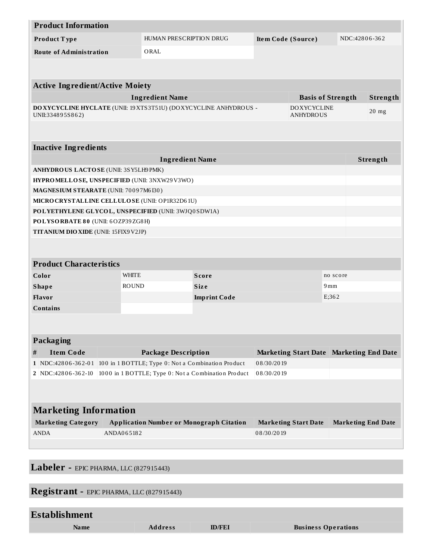| <b>Product Information</b>                                                                                                     |                                                                   |                                                                                     |                    |                                         |                           |          |  |
|--------------------------------------------------------------------------------------------------------------------------------|-------------------------------------------------------------------|-------------------------------------------------------------------------------------|--------------------|-----------------------------------------|---------------------------|----------|--|
| Product Type                                                                                                                   | HUMAN PRESCRIPTION DRUG                                           |                                                                                     | Item Code (Source) |                                         | NDC:42806-362             |          |  |
| <b>Route of Administration</b>                                                                                                 | ORAL                                                              |                                                                                     |                    |                                         |                           |          |  |
|                                                                                                                                |                                                                   |                                                                                     |                    |                                         |                           |          |  |
|                                                                                                                                |                                                                   |                                                                                     |                    |                                         |                           |          |  |
| <b>Active Ingredient/Active Moiety</b>                                                                                         |                                                                   |                                                                                     |                    |                                         |                           |          |  |
|                                                                                                                                | <b>Ingredient Name</b>                                            |                                                                                     |                    |                                         | <b>Basis of Strength</b>  | Strength |  |
| DOXYCYCLINE HYCLATE (UNII: 19 XTS3T51U) (DOXYCYCLINE ANHYDROUS -<br><b>DOXYCYCLINE</b><br>UNII:334895S862)<br><b>ANHYDROUS</b> |                                                                   |                                                                                     |                    |                                         |                           | $20$ mg  |  |
|                                                                                                                                |                                                                   |                                                                                     |                    |                                         |                           |          |  |
| <b>Inactive Ingredients</b>                                                                                                    |                                                                   |                                                                                     |                    |                                         |                           |          |  |
| <b>Ingredient Name</b>                                                                                                         |                                                                   |                                                                                     |                    |                                         | Strength                  |          |  |
| ANHYDROUS LACTOSE (UNII: 3SY5LH9 PMK)                                                                                          |                                                                   |                                                                                     |                    |                                         |                           |          |  |
| HYPROMELLOSE, UNSPECIFIED (UNII: 3NXW29V3WO)                                                                                   |                                                                   |                                                                                     |                    |                                         |                           |          |  |
| MAGNESIUM STEARATE (UNII: 70097M6I30)                                                                                          |                                                                   |                                                                                     |                    |                                         |                           |          |  |
| MICRO CRYSTALLINE CELLULO SE (UNII: OP1R32D61U)                                                                                |                                                                   |                                                                                     |                    |                                         |                           |          |  |
| POLYETHYLENE GLYCOL, UNSPECIFIED (UNII: 3WJQ0SDW1A)                                                                            |                                                                   |                                                                                     |                    |                                         |                           |          |  |
|                                                                                                                                | POLYSORBATE 80 (UNII: 6OZP39ZG8H)                                 |                                                                                     |                    |                                         |                           |          |  |
| TITANIUM DIO XIDE (UNII: 15FIX9V2JP)                                                                                           |                                                                   |                                                                                     |                    |                                         |                           |          |  |
|                                                                                                                                |                                                                   |                                                                                     |                    |                                         |                           |          |  |
| <b>Product Characteristics</b>                                                                                                 |                                                                   |                                                                                     |                    |                                         |                           |          |  |
| Color                                                                                                                          | <b>WHITE</b>                                                      | <b>Score</b>                                                                        |                    |                                         | no score                  |          |  |
| <b>Shape</b>                                                                                                                   | <b>ROUND</b>                                                      | <b>Size</b>                                                                         |                    |                                         | 9mm                       |          |  |
| Flavor                                                                                                                         |                                                                   | <b>Imprint Code</b>                                                                 |                    |                                         | E;362                     |          |  |
| <b>Contains</b>                                                                                                                |                                                                   |                                                                                     |                    |                                         |                           |          |  |
|                                                                                                                                |                                                                   |                                                                                     |                    |                                         |                           |          |  |
|                                                                                                                                |                                                                   |                                                                                     |                    |                                         |                           |          |  |
| Packaging                                                                                                                      |                                                                   |                                                                                     |                    |                                         |                           |          |  |
| <b>Item Code</b><br>#                                                                                                          | <b>Package Description</b>                                        |                                                                                     |                    | Marketing Start Date Marketing End Date |                           |          |  |
|                                                                                                                                |                                                                   | 1 NDC:42806-362-01 100 in 1 BOTTLE; Type 0: Not a Combination Product<br>08/30/2019 |                    |                                         |                           |          |  |
| 2 NDC:42806-362-10                                                                                                             | 1000 in 1 BOTTLE; Type 0: Not a Combination Product<br>08/30/2019 |                                                                                     |                    |                                         |                           |          |  |
|                                                                                                                                |                                                                   |                                                                                     |                    |                                         |                           |          |  |
| <b>Marketing Information</b>                                                                                                   |                                                                   |                                                                                     |                    |                                         |                           |          |  |
|                                                                                                                                |                                                                   |                                                                                     |                    |                                         |                           |          |  |
| <b>Marketing Category</b>                                                                                                      | <b>Application Number or Monograph Citation</b>                   |                                                                                     |                    | <b>Marketing Start Date</b>             | <b>Marketing End Date</b> |          |  |
| <b>ANDA</b>                                                                                                                    | ANDA065182                                                        |                                                                                     | 08/30/2019         |                                         |                           |          |  |
|                                                                                                                                |                                                                   |                                                                                     |                    |                                         |                           |          |  |

**Labeler -** EPIC PHARMA, LLC (827915443)

**Registrant -** EPIC PHARMA, LLC (827915443)

| <b>Establishment</b> |                |               |                            |
|----------------------|----------------|---------------|----------------------------|
| Name                 | <b>Address</b> | <b>ID/FEI</b> | <b>Business Operations</b> |